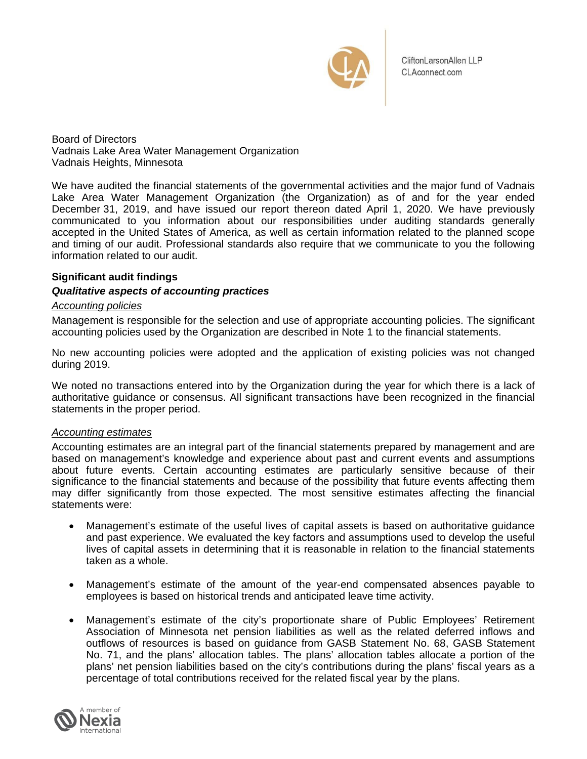

CliftonLarsonAllen LLP CLAconnect.com

Board of Directors Vadnais Lake Area Water Management Organization Vadnais Heights, Minnesota

We have audited the financial statements of the governmental activities and the major fund of Vadnais Lake Area Water Management Organization (the Organization) as of and for the year ended December 31, 2019, and have issued our report thereon dated April 1, 2020. We have previously communicated to you information about our responsibilities under auditing standards generally accepted in the United States of America, as well as certain information related to the planned scope and timing of our audit. Professional standards also require that we communicate to you the following information related to our audit.

# **Significant audit findings**

# *Qualitative aspects of accounting practices*

# *Accounting policies*

Management is responsible for the selection and use of appropriate accounting policies. The significant accounting policies used by the Organization are described in Note 1 to the financial statements.

No new accounting policies were adopted and the application of existing policies was not changed during 2019.

We noted no transactions entered into by the Organization during the year for which there is a lack of authoritative guidance or consensus. All significant transactions have been recognized in the financial statements in the proper period.

# *Accounting estimates*

Accounting estimates are an integral part of the financial statements prepared by management and are based on management's knowledge and experience about past and current events and assumptions about future events. Certain accounting estimates are particularly sensitive because of their significance to the financial statements and because of the possibility that future events affecting them may differ significantly from those expected. The most sensitive estimates affecting the financial statements were:

- Management's estimate of the useful lives of capital assets is based on authoritative guidance and past experience. We evaluated the key factors and assumptions used to develop the useful lives of capital assets in determining that it is reasonable in relation to the financial statements taken as a whole.
- Management's estimate of the amount of the year-end compensated absences payable to employees is based on historical trends and anticipated leave time activity.
- Management's estimate of the city's proportionate share of Public Employees' Retirement Association of Minnesota net pension liabilities as well as the related deferred inflows and outflows of resources is based on guidance from GASB Statement No. 68, GASB Statement No. 71, and the plans' allocation tables. The plans' allocation tables allocate a portion of the plans' net pension liabilities based on the city's contributions during the plans' fiscal years as a percentage of total contributions received for the related fiscal year by the plans.

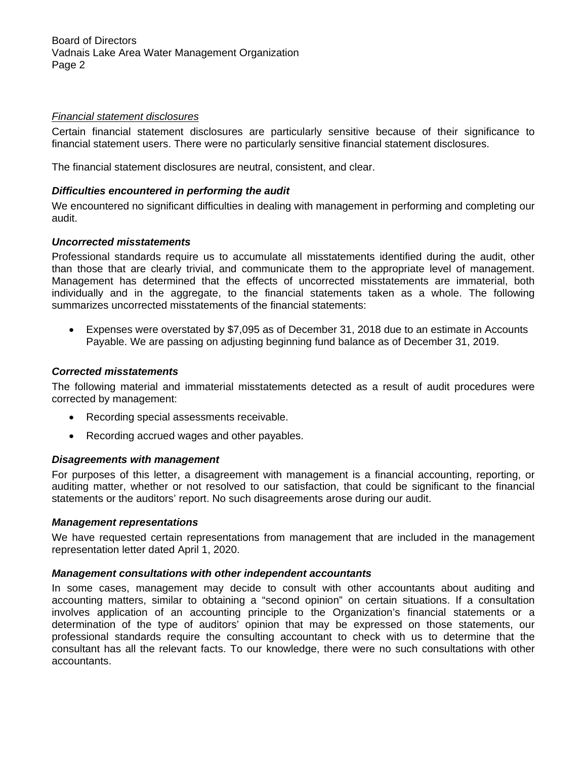Board of Directors Vadnais Lake Area Water Management Organization Page 2

# *Financial statement disclosures*

Certain financial statement disclosures are particularly sensitive because of their significance to financial statement users. There were no particularly sensitive financial statement disclosures.

The financial statement disclosures are neutral, consistent, and clear.

### *Difficulties encountered in performing the audit*

We encountered no significant difficulties in dealing with management in performing and completing our audit.

### *Uncorrected misstatements*

Professional standards require us to accumulate all misstatements identified during the audit, other than those that are clearly trivial, and communicate them to the appropriate level of management. Management has determined that the effects of uncorrected misstatements are immaterial, both individually and in the aggregate, to the financial statements taken as a whole. The following summarizes uncorrected misstatements of the financial statements:

 Expenses were overstated by \$7,095 as of December 31, 2018 due to an estimate in Accounts Payable. We are passing on adjusting beginning fund balance as of December 31, 2019.

### *Corrected misstatements*

The following material and immaterial misstatements detected as a result of audit procedures were corrected by management:

- Recording special assessments receivable.
- Recording accrued wages and other payables.

### *Disagreements with management*

For purposes of this letter, a disagreement with management is a financial accounting, reporting, or auditing matter, whether or not resolved to our satisfaction, that could be significant to the financial statements or the auditors' report. No such disagreements arose during our audit.

#### *Management representations*

We have requested certain representations from management that are included in the management representation letter dated April 1, 2020.

# *Management consultations with other independent accountants*

In some cases, management may decide to consult with other accountants about auditing and accounting matters, similar to obtaining a "second opinion" on certain situations. If a consultation involves application of an accounting principle to the Organization's financial statements or a determination of the type of auditors' opinion that may be expressed on those statements, our professional standards require the consulting accountant to check with us to determine that the consultant has all the relevant facts. To our knowledge, there were no such consultations with other accountants.